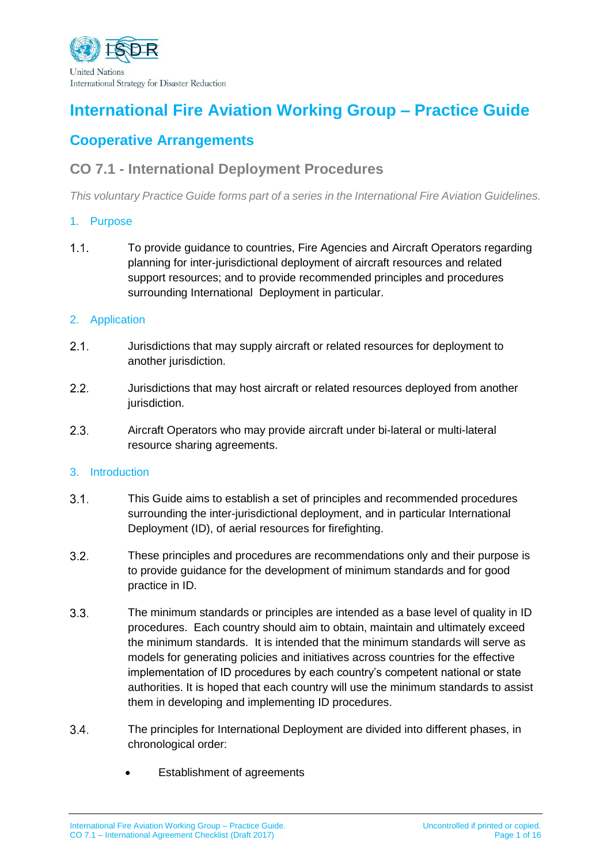

# **International Fire Aviation Working Group – Practice Guide**

## **Cooperative Arrangements**

## **CO 7.1 - International Deployment Procedures**

*This voluntary Practice Guide forms part of a series in the International Fire Aviation Guidelines.*

#### 1. Purpose

 $1.1<sub>1</sub>$ To provide guidance to countries, Fire Agencies and Aircraft Operators regarding planning for inter-jurisdictional deployment of aircraft resources and related support resources; and to provide recommended principles and procedures surrounding International Deployment in particular.

#### 2. Application

- $2.1.$ Jurisdictions that may supply aircraft or related resources for deployment to another jurisdiction.
- $2.2.$ Jurisdictions that may host aircraft or related resources deployed from another jurisdiction.
- $2.3.$ Aircraft Operators who may provide aircraft under bi-lateral or multi-lateral resource sharing agreements.

#### 3. Introduction

- $3.1.$ This Guide aims to establish a set of principles and recommended procedures surrounding the inter-jurisdictional deployment, and in particular International Deployment (ID), of aerial resources for firefighting.
- $3.2.$ These principles and procedures are recommendations only and their purpose is to provide guidance for the development of minimum standards and for good practice in ID.
- $3.3.$ The minimum standards or principles are intended as a base level of quality in ID procedures. Each country should aim to obtain, maintain and ultimately exceed the minimum standards. It is intended that the minimum standards will serve as models for generating policies and initiatives across countries for the effective implementation of ID procedures by each country's competent national or state authorities. It is hoped that each country will use the minimum standards to assist them in developing and implementing ID procedures.
- $3.4.$ The principles for International Deployment are divided into different phases, in chronological order:
	- Establishment of agreements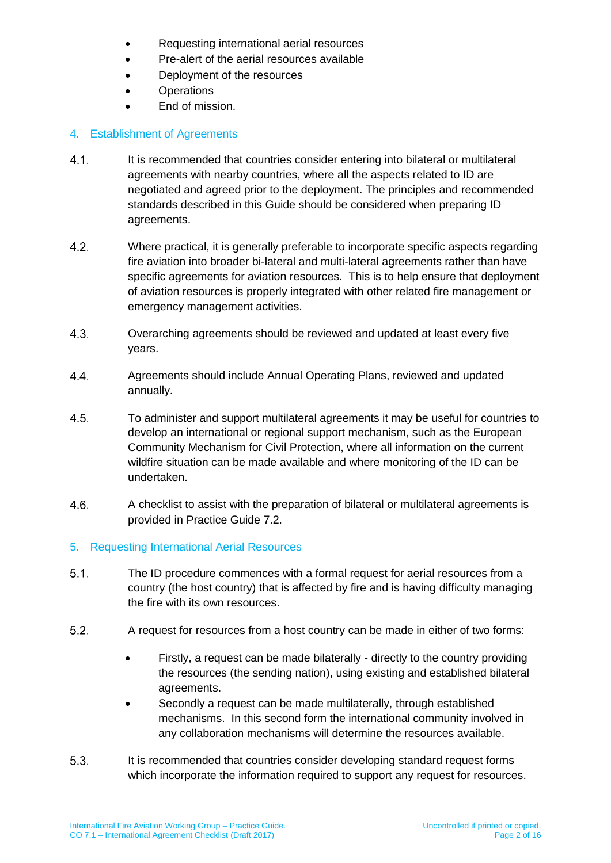- Requesting international aerial resources
- Pre-alert of the aerial resources available
- Deployment of the resources
- Operations
- End of mission.

### 4. Establishment of Agreements

- $4.1.$ It is recommended that countries consider entering into bilateral or multilateral agreements with nearby countries, where all the aspects related to ID are negotiated and agreed prior to the deployment. The principles and recommended standards described in this Guide should be considered when preparing ID agreements.
- $4.2.$ Where practical, it is generally preferable to incorporate specific aspects regarding fire aviation into broader bi-lateral and multi-lateral agreements rather than have specific agreements for aviation resources. This is to help ensure that deployment of aviation resources is properly integrated with other related fire management or emergency management activities.
- $4.3.$ Overarching agreements should be reviewed and updated at least every five years.
- Agreements should include Annual Operating Plans, reviewed and updated 4.4. annually.
- $4.5.$ To administer and support multilateral agreements it may be useful for countries to develop an international or regional support mechanism, such as the European Community Mechanism for Civil Protection, where all information on the current wildfire situation can be made available and where monitoring of the ID can be undertaken.
- $4.6.$ A checklist to assist with the preparation of bilateral or multilateral agreements is provided in Practice Guide 7.2.

### 5. Requesting International Aerial Resources

- $5.1.$ The ID procedure commences with a formal request for aerial resources from a country (the host country) that is affected by fire and is having difficulty managing the fire with its own resources.
- $5.2.$ A request for resources from a host country can be made in either of two forms:
	- Firstly, a request can be made bilaterally directly to the country providing the resources (the sending nation), using existing and established bilateral agreements.
	- Secondly a request can be made multilaterally, through established mechanisms. In this second form the international community involved in any collaboration mechanisms will determine the resources available.
- $5.3.$ It is recommended that countries consider developing standard request forms which incorporate the information required to support any request for resources.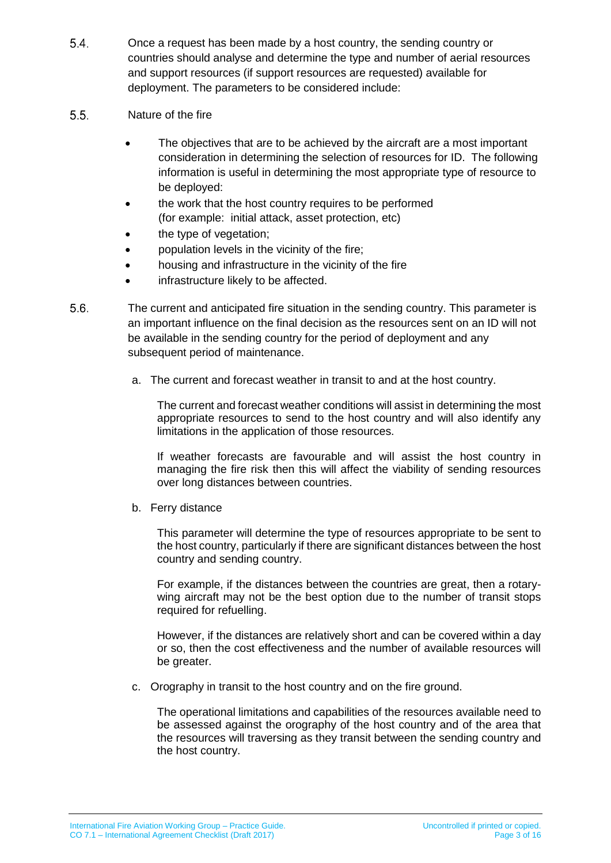- 5.4. Once a request has been made by a host country, the sending country or countries should analyse and determine the type and number of aerial resources and support resources (if support resources are requested) available for deployment. The parameters to be considered include:
- $5.5.$ Nature of the fire
	- The objectives that are to be achieved by the aircraft are a most important consideration in determining the selection of resources for ID. The following information is useful in determining the most appropriate type of resource to be deployed:
	- the work that the host country requires to be performed (for example: initial attack, asset protection, etc)
	- the type of vegetation;
	- population levels in the vicinity of the fire;
	- housing and infrastructure in the vicinity of the fire
	- **•** infrastructure likely to be affected.
- $5.6.$ The current and anticipated fire situation in the sending country. This parameter is an important influence on the final decision as the resources sent on an ID will not be available in the sending country for the period of deployment and any subsequent period of maintenance.
	- a. The current and forecast weather in transit to and at the host country.

The current and forecast weather conditions will assist in determining the most appropriate resources to send to the host country and will also identify any limitations in the application of those resources.

If weather forecasts are favourable and will assist the host country in managing the fire risk then this will affect the viability of sending resources over long distances between countries.

b. Ferry distance

This parameter will determine the type of resources appropriate to be sent to the host country, particularly if there are significant distances between the host country and sending country.

For example, if the distances between the countries are great, then a rotarywing aircraft may not be the best option due to the number of transit stops required for refuelling.

However, if the distances are relatively short and can be covered within a day or so, then the cost effectiveness and the number of available resources will be greater.

c. Orography in transit to the host country and on the fire ground.

The operational limitations and capabilities of the resources available need to be assessed against the orography of the host country and of the area that the resources will traversing as they transit between the sending country and the host country.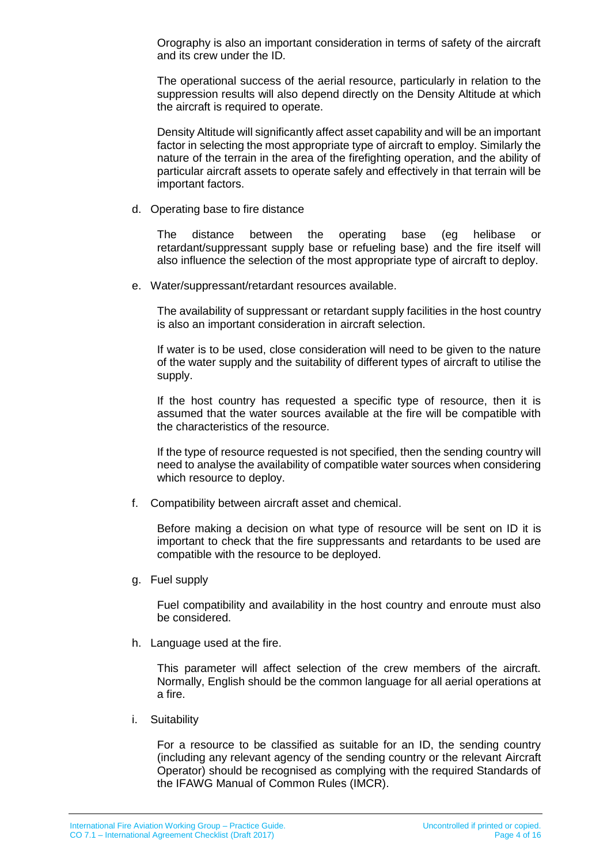Orography is also an important consideration in terms of safety of the aircraft and its crew under the ID.

The operational success of the aerial resource, particularly in relation to the suppression results will also depend directly on the Density Altitude at which the aircraft is required to operate.

Density Altitude will significantly affect asset capability and will be an important factor in selecting the most appropriate type of aircraft to employ. Similarly the nature of the terrain in the area of the firefighting operation, and the ability of particular aircraft assets to operate safely and effectively in that terrain will be important factors.

d. Operating base to fire distance

The distance between the operating base (eg helibase or retardant/suppressant supply base or refueling base) and the fire itself will also influence the selection of the most appropriate type of aircraft to deploy.

e. Water/suppressant/retardant resources available.

The availability of suppressant or retardant supply facilities in the host country is also an important consideration in aircraft selection.

If water is to be used, close consideration will need to be given to the nature of the water supply and the suitability of different types of aircraft to utilise the supply.

If the host country has requested a specific type of resource, then it is assumed that the water sources available at the fire will be compatible with the characteristics of the resource.

If the type of resource requested is not specified, then the sending country will need to analyse the availability of compatible water sources when considering which resource to deploy.

f. Compatibility between aircraft asset and chemical.

Before making a decision on what type of resource will be sent on ID it is important to check that the fire suppressants and retardants to be used are compatible with the resource to be deployed.

g. Fuel supply

Fuel compatibility and availability in the host country and enroute must also be considered.

h. Language used at the fire.

This parameter will affect selection of the crew members of the aircraft. Normally, English should be the common language for all aerial operations at a fire.

i. Suitability

For a resource to be classified as suitable for an ID, the sending country (including any relevant agency of the sending country or the relevant Aircraft Operator) should be recognised as complying with the required Standards of the IFAWG Manual of Common Rules (IMCR).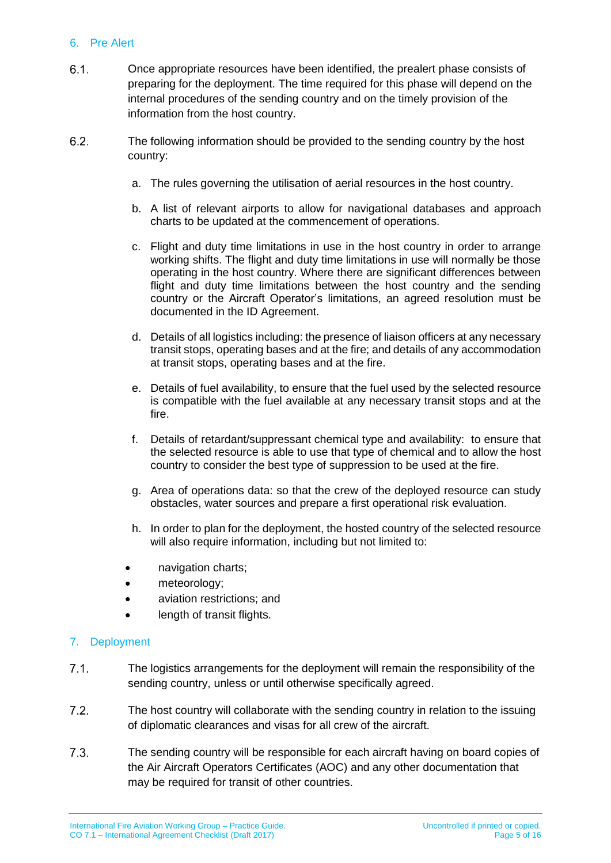#### 6. Pre Alert

- $6.1.$ Once appropriate resources have been identified, the prealert phase consists of preparing for the deployment. The time required for this phase will depend on the internal procedures of the sending country and on the timely provision of the information from the host country.
- $6.2.$ The following information should be provided to the sending country by the host country:
	- a. The rules governing the utilisation of aerial resources in the host country.
	- b. A list of relevant airports to allow for navigational databases and approach charts to be updated at the commencement of operations.
	- c. Flight and duty time limitations in use in the host country in order to arrange working shifts. The flight and duty time limitations in use will normally be those operating in the host country. Where there are significant differences between flight and duty time limitations between the host country and the sending country or the Aircraft Operator's limitations, an agreed resolution must be documented in the ID Agreement.
	- d. Details of all logistics including: the presence of liaison officers at any necessary transit stops, operating bases and at the fire; and details of any accommodation at transit stops, operating bases and at the fire.
	- e. Details of fuel availability, to ensure that the fuel used by the selected resource is compatible with the fuel available at any necessary transit stops and at the fire.
	- f. Details of retardant/suppressant chemical type and availability: to ensure that the selected resource is able to use that type of chemical and to allow the host country to consider the best type of suppression to be used at the fire.
	- g. Area of operations data: so that the crew of the deployed resource can study obstacles, water sources and prepare a first operational risk evaluation.
	- h. In order to plan for the deployment, the hosted country of the selected resource will also require information, including but not limited to:
	- navigation charts;
	- meteorology:
	- aviation restrictions; and
	- length of transit flights.

### 7. Deployment

- $7.1$ The logistics arrangements for the deployment will remain the responsibility of the sending country, unless or until otherwise specifically agreed.
- $7.2.$ The host country will collaborate with the sending country in relation to the issuing of diplomatic clearances and visas for all crew of the aircraft.
- $7.3.$ The sending country will be responsible for each aircraft having on board copies of the Air Aircraft Operators Certificates (AOC) and any other documentation that may be required for transit of other countries.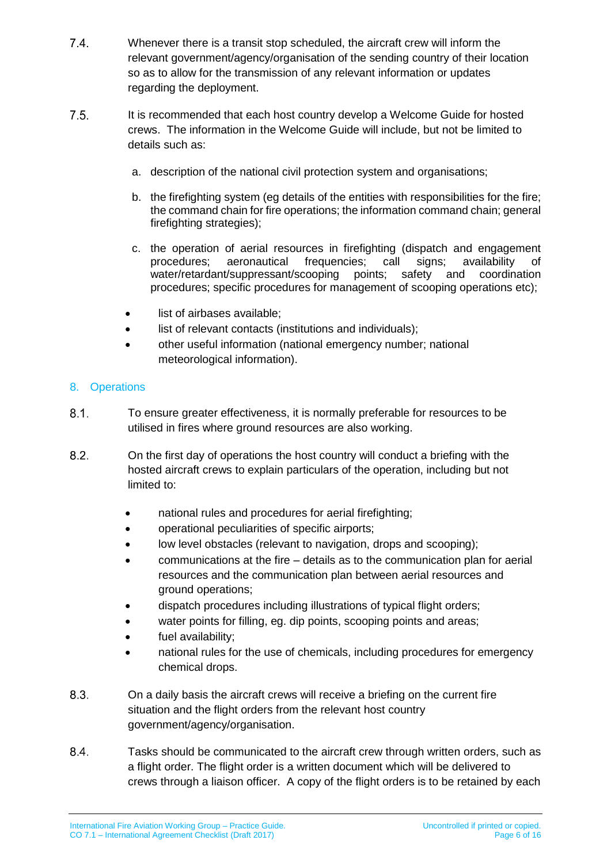- $7.4.$ Whenever there is a transit stop scheduled, the aircraft crew will inform the relevant government/agency/organisation of the sending country of their location so as to allow for the transmission of any relevant information or updates regarding the deployment.
- $7.5.$ It is recommended that each host country develop a Welcome Guide for hosted crews. The information in the Welcome Guide will include, but not be limited to details such as:
	- a. description of the national civil protection system and organisations;
	- b. the firefighting system (eg details of the entities with responsibilities for the fire; the command chain for fire operations; the information command chain; general firefighting strategies);
	- c. the operation of aerial resources in firefighting (dispatch and engagement procedures; aeronautical frequencies; call signs; availability of water/retardant/suppressant/scooping points; safety and coordination procedures; specific procedures for management of scooping operations etc);
	- list of airbases available;
	- list of relevant contacts (institutions and individuals);
	- other useful information (national emergency number; national meteorological information).

### 8. Operations

- $8.1.$ To ensure greater effectiveness, it is normally preferable for resources to be utilised in fires where ground resources are also working.
- $8.2.$ On the first day of operations the host country will conduct a briefing with the hosted aircraft crews to explain particulars of the operation, including but not limited to:
	- national rules and procedures for aerial firefighting;
	- operational peculiarities of specific airports;
	- low level obstacles (relevant to navigation, drops and scooping);
	- communications at the fire details as to the communication plan for aerial resources and the communication plan between aerial resources and ground operations;
	- dispatch procedures including illustrations of typical flight orders;
	- water points for filling, eg. dip points, scooping points and areas;
	- fuel availability;
	- national rules for the use of chemicals, including procedures for emergency chemical drops.
- $8.3.$ On a daily basis the aircraft crews will receive a briefing on the current fire situation and the flight orders from the relevant host country government/agency/organisation.
- 8.4. Tasks should be communicated to the aircraft crew through written orders, such as a flight order. The flight order is a written document which will be delivered to crews through a liaison officer. A copy of the flight orders is to be retained by each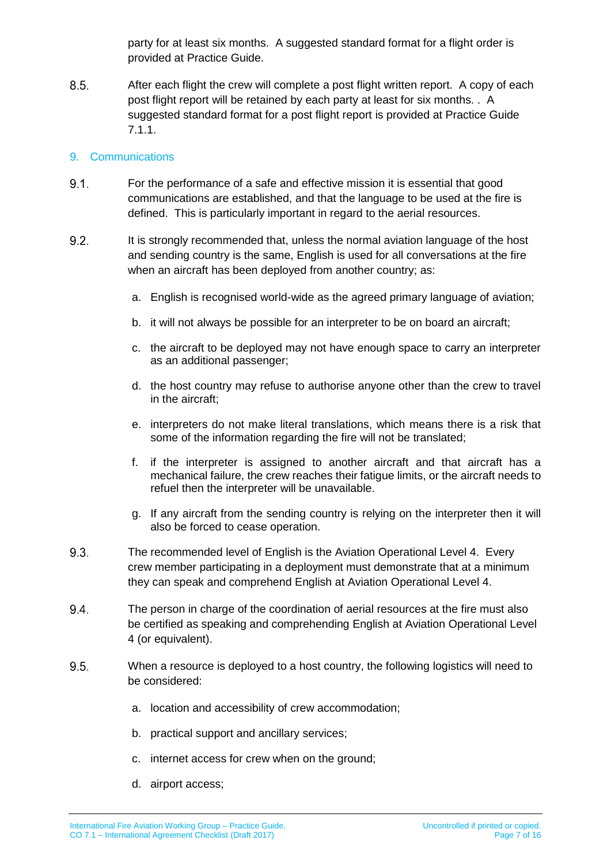party for at least six months. A suggested standard format for a flight order is provided at Practice Guide.

 $8.5.$ After each flight the crew will complete a post flight written report. A copy of each post flight report will be retained by each party at least for six months. . A suggested standard format for a post flight report is provided at Practice Guide 7.1.1.

### 9. Communications

- For the performance of a safe and effective mission it is essential that good  $9.1.$ communications are established, and that the language to be used at the fire is defined. This is particularly important in regard to the aerial resources.
- $9.2.$ It is strongly recommended that, unless the normal aviation language of the host and sending country is the same, English is used for all conversations at the fire when an aircraft has been deployed from another country; as:
	- a. English is recognised world-wide as the agreed primary language of aviation;
	- b. it will not always be possible for an interpreter to be on board an aircraft;
	- c. the aircraft to be deployed may not have enough space to carry an interpreter as an additional passenger;
	- d. the host country may refuse to authorise anyone other than the crew to travel in the aircraft;
	- e. interpreters do not make literal translations, which means there is a risk that some of the information regarding the fire will not be translated;
	- f. if the interpreter is assigned to another aircraft and that aircraft has a mechanical failure, the crew reaches their fatigue limits, or the aircraft needs to refuel then the interpreter will be unavailable.
	- g. If any aircraft from the sending country is relying on the interpreter then it will also be forced to cease operation.
- 9.3. The recommended level of English is the Aviation Operational Level 4. Every crew member participating in a deployment must demonstrate that at a minimum they can speak and comprehend English at Aviation Operational Level 4.
- 9.4. The person in charge of the coordination of aerial resources at the fire must also be certified as speaking and comprehending English at Aviation Operational Level 4 (or equivalent).
- 9.5. When a resource is deployed to a host country, the following logistics will need to be considered:
	- a. location and accessibility of crew accommodation;
	- b. practical support and ancillary services;
	- c. internet access for crew when on the ground;
	- d. airport access;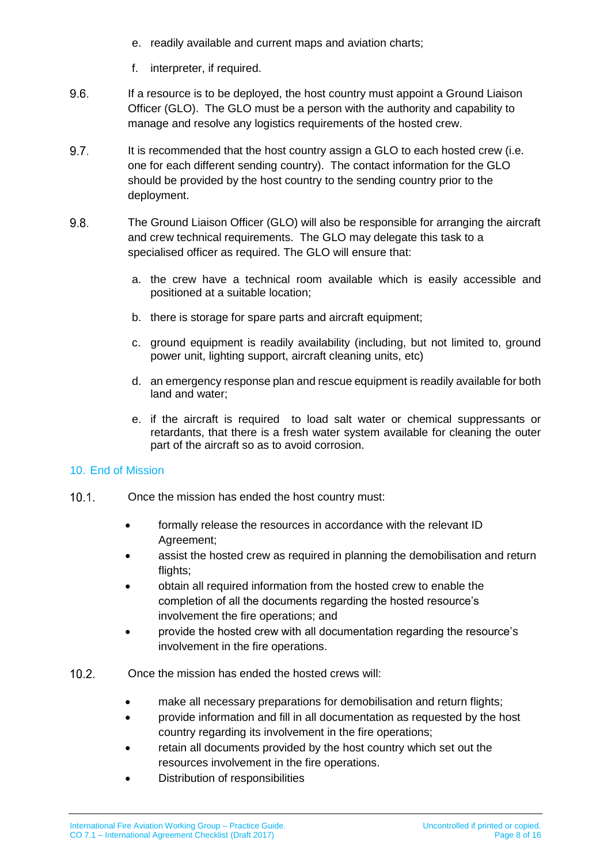- e. readily available and current maps and aviation charts;
- f. interpreter, if required.
- 9.6. If a resource is to be deployed, the host country must appoint a Ground Liaison Officer (GLO). The GLO must be a person with the authority and capability to manage and resolve any logistics requirements of the hosted crew.
- 9.7. It is recommended that the host country assign a GLO to each hosted crew (i.e. one for each different sending country). The contact information for the GLO should be provided by the host country to the sending country prior to the deployment.
- 9.8. The Ground Liaison Officer (GLO) will also be responsible for arranging the aircraft and crew technical requirements. The GLO may delegate this task to a specialised officer as required. The GLO will ensure that:
	- a. the crew have a technical room available which is easily accessible and positioned at a suitable location;
	- b. there is storage for spare parts and aircraft equipment;
	- c. ground equipment is readily availability (including, but not limited to, ground power unit, lighting support, aircraft cleaning units, etc)
	- d. an emergency response plan and rescue equipment is readily available for both land and water;
	- e. if the aircraft is required to load salt water or chemical suppressants or retardants, that there is a fresh water system available for cleaning the outer part of the aircraft so as to avoid corrosion.

### 10. End of Mission

- $10.1$ Once the mission has ended the host country must:
	- formally release the resources in accordance with the relevant ID Agreement;
	- assist the hosted crew as required in planning the demobilisation and return flights:
	- obtain all required information from the hosted crew to enable the completion of all the documents regarding the hosted resource's involvement the fire operations; and
	- provide the hosted crew with all documentation regarding the resource's involvement in the fire operations.
- $10.2.$ Once the mission has ended the hosted crews will:
	- make all necessary preparations for demobilisation and return flights;
	- provide information and fill in all documentation as requested by the host country regarding its involvement in the fire operations;
	- retain all documents provided by the host country which set out the resources involvement in the fire operations.
	- Distribution of responsibilities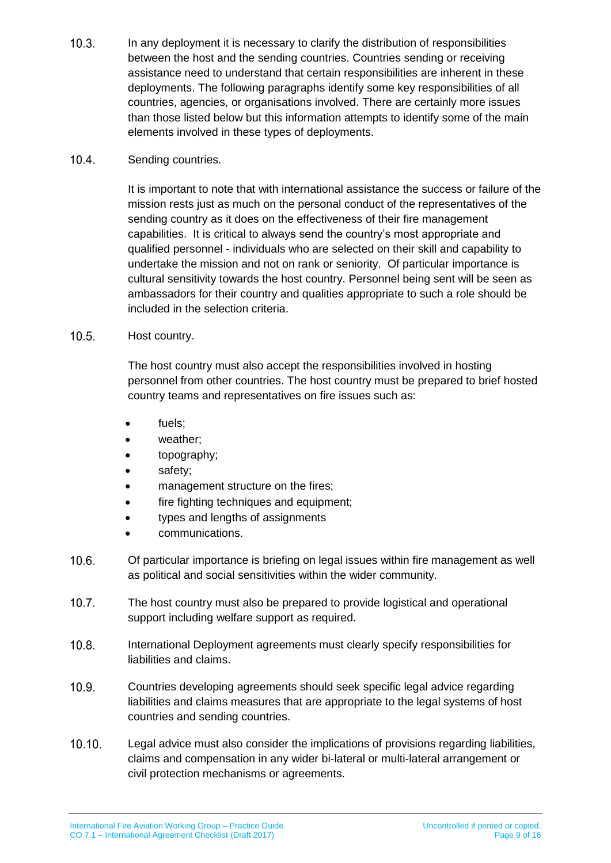$10.3.$ In any deployment it is necessary to clarify the distribution of responsibilities between the host and the sending countries. Countries sending or receiving assistance need to understand that certain responsibilities are inherent in these deployments. The following paragraphs identify some key responsibilities of all countries, agencies, or organisations involved. There are certainly more issues than those listed below but this information attempts to identify some of the main elements involved in these types of deployments.

#### $10.4$ Sending countries.

It is important to note that with international assistance the success or failure of the mission rests just as much on the personal conduct of the representatives of the sending country as it does on the effectiveness of their fire management capabilities. It is critical to always send the country's most appropriate and qualified personnel - individuals who are selected on their skill and capability to undertake the mission and not on rank or seniority. Of particular importance is cultural sensitivity towards the host country. Personnel being sent will be seen as ambassadors for their country and qualities appropriate to such a role should be included in the selection criteria.

#### $10.5.$ Host country.

The host country must also accept the responsibilities involved in hosting personnel from other countries. The host country must be prepared to brief hosted country teams and representatives on fire issues such as:

- fuels:
- weather;
- topography;
- safety;
- management structure on the fires;
- fire fighting techniques and equipment;
- types and lengths of assignments
- communications.
- $10.6.$ Of particular importance is briefing on legal issues within fire management as well as political and social sensitivities within the wider community.
- $10.7$ The host country must also be prepared to provide logistical and operational support including welfare support as required.
- $10.8.$ International Deployment agreements must clearly specify responsibilities for liabilities and claims.
- $10.9<sub>1</sub>$ Countries developing agreements should seek specific legal advice regarding liabilities and claims measures that are appropriate to the legal systems of host countries and sending countries.
- $10.10.$ Legal advice must also consider the implications of provisions regarding liabilities, claims and compensation in any wider bi-lateral or multi-lateral arrangement or civil protection mechanisms or agreements.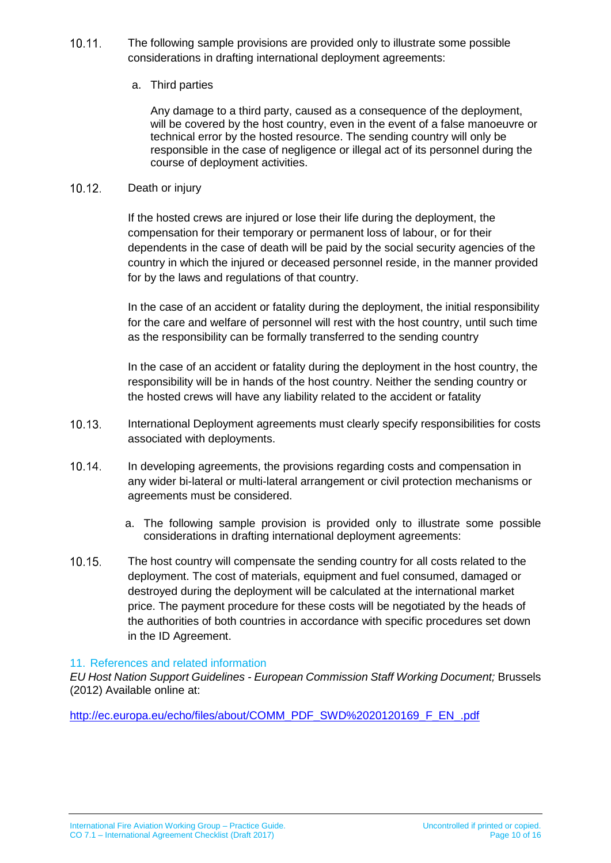$10.11.$ The following sample provisions are provided only to illustrate some possible considerations in drafting international deployment agreements:

#### a. Third parties

Any damage to a third party, caused as a consequence of the deployment, will be covered by the host country, even in the event of a false manoeuvre or technical error by the hosted resource. The sending country will only be responsible in the case of negligence or illegal act of its personnel during the course of deployment activities.

#### $10.12.$ Death or injury

If the hosted crews are injured or lose their life during the deployment, the compensation for their temporary or permanent loss of labour, or for their dependents in the case of death will be paid by the social security agencies of the country in which the injured or deceased personnel reside, in the manner provided for by the laws and regulations of that country.

In the case of an accident or fatality during the deployment, the initial responsibility for the care and welfare of personnel will rest with the host country, until such time as the responsibility can be formally transferred to the sending country

In the case of an accident or fatality during the deployment in the host country, the responsibility will be in hands of the host country. Neither the sending country or the hosted crews will have any liability related to the accident or fatality

- $10.13.$ International Deployment agreements must clearly specify responsibilities for costs associated with deployments.
- $10.14.$ In developing agreements, the provisions regarding costs and compensation in any wider bi-lateral or multi-lateral arrangement or civil protection mechanisms or agreements must be considered.
	- a. The following sample provision is provided only to illustrate some possible considerations in drafting international deployment agreements:
- 10.15 The host country will compensate the sending country for all costs related to the deployment. The cost of materials, equipment and fuel consumed, damaged or destroyed during the deployment will be calculated at the international market price. The payment procedure for these costs will be negotiated by the heads of the authorities of both countries in accordance with specific procedures set down in the ID Agreement.

#### 11. References and related information

*EU Host Nation Support Guidelines - European Commission Staff Working Document;* Brussels (2012) Available online at:

[http://ec.europa.eu/echo/files/about/COMM\\_PDF\\_SWD%2020120169\\_F\\_EN\\_.pdf](http://ec.europa.eu/echo/files/about/COMM_PDF_SWD%2020120169_F_EN_.pdf)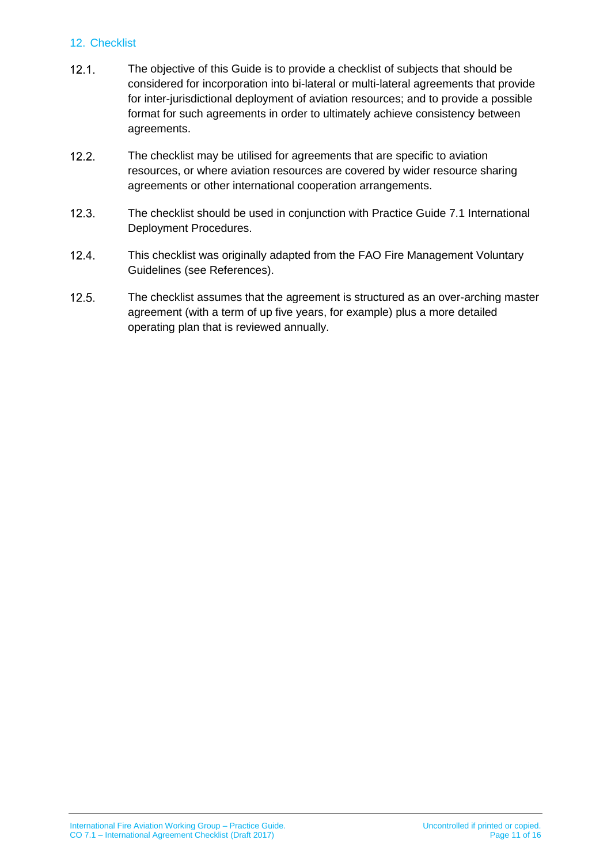#### 12. Checklist

- $12.1.$ The objective of this Guide is to provide a checklist of subjects that should be considered for incorporation into bi-lateral or multi-lateral agreements that provide for inter-jurisdictional deployment of aviation resources; and to provide a possible format for such agreements in order to ultimately achieve consistency between agreements.
- $12.2.$ The checklist may be utilised for agreements that are specific to aviation resources, or where aviation resources are covered by wider resource sharing agreements or other international cooperation arrangements.
- $12.3$ The checklist should be used in conjunction with Practice Guide 7.1 International Deployment Procedures.
- $12.4.$ This checklist was originally adapted from the FAO Fire Management Voluntary Guidelines (see References).
- $12.5.$ The checklist assumes that the agreement is structured as an over-arching master agreement (with a term of up five years, for example) plus a more detailed operating plan that is reviewed annually.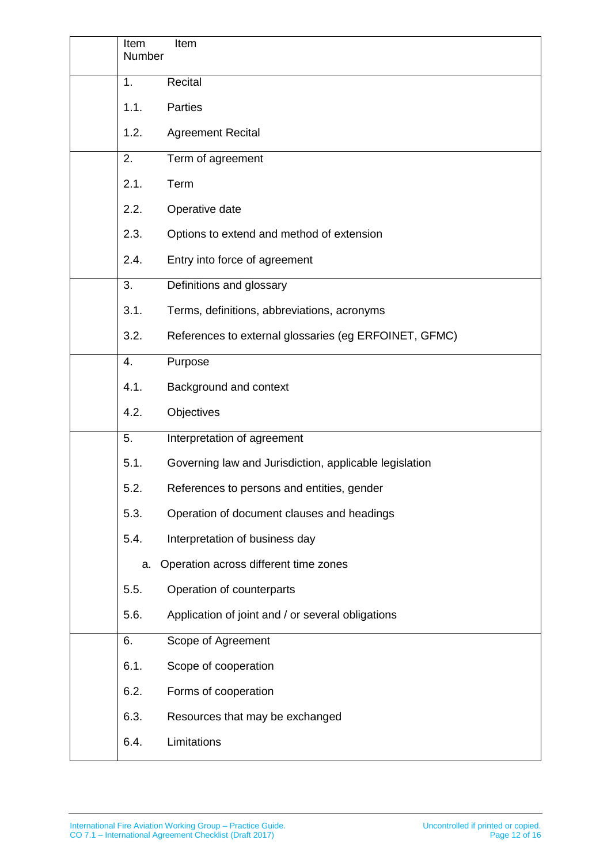| Item<br>Number | Item                                                   |
|----------------|--------------------------------------------------------|
| 1.             | Recital                                                |
| 1.1.           | Parties                                                |
| 1.2.           | <b>Agreement Recital</b>                               |
| 2.             | Term of agreement                                      |
| 2.1.           | Term                                                   |
| 2.2.           | Operative date                                         |
| 2.3.           | Options to extend and method of extension              |
| 2.4.           | Entry into force of agreement                          |
| 3.             | Definitions and glossary                               |
| 3.1.           | Terms, definitions, abbreviations, acronyms            |
| 3.2.           | References to external glossaries (eg ERFOINET, GFMC)  |
| 4.             | Purpose                                                |
| 4.1.           | Background and context                                 |
| 4.2.           | Objectives                                             |
| 5.             | Interpretation of agreement                            |
| 5.1.           | Governing law and Jurisdiction, applicable legislation |
| 5.2.           | References to persons and entities, gender             |
| 5.3.           | Operation of document clauses and headings             |
| 5.4.           | Interpretation of business day                         |
| a.             | Operation across different time zones                  |
| 5.5.           | Operation of counterparts                              |
| 5.6.           | Application of joint and / or several obligations      |
| 6.             | Scope of Agreement                                     |
| 6.1.           | Scope of cooperation                                   |
| 6.2.           | Forms of cooperation                                   |
| 6.3.           | Resources that may be exchanged                        |
| 6.4.           | Limitations                                            |
|                |                                                        |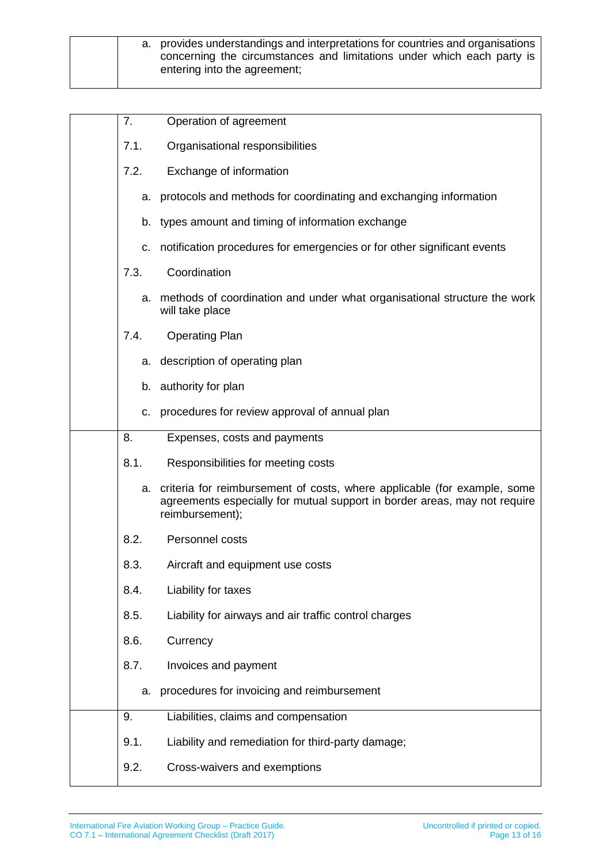| a. provides understandings and interpretations for countries and organisations<br>concerning the circumstances and limitations under which each party is<br>entering into the agreement; |  |  |
|------------------------------------------------------------------------------------------------------------------------------------------------------------------------------------------|--|--|
|------------------------------------------------------------------------------------------------------------------------------------------------------------------------------------------|--|--|

| 7 <sub>1</sub> | Operation of agreement                                                                                                                                                   |
|----------------|--------------------------------------------------------------------------------------------------------------------------------------------------------------------------|
| 7.1.           | Organisational responsibilities                                                                                                                                          |
| 7.2.           | Exchange of information                                                                                                                                                  |
| a.             | protocols and methods for coordinating and exchanging information                                                                                                        |
| b.             | types amount and timing of information exchange                                                                                                                          |
| c.             | notification procedures for emergencies or for other significant events                                                                                                  |
| 7.3.           | Coordination                                                                                                                                                             |
|                | a. methods of coordination and under what organisational structure the work<br>will take place                                                                           |
| 7.4.           | <b>Operating Plan</b>                                                                                                                                                    |
|                | a. description of operating plan                                                                                                                                         |
|                | b. authority for plan                                                                                                                                                    |
| c.             | procedures for review approval of annual plan                                                                                                                            |
| 8.             | Expenses, costs and payments                                                                                                                                             |
| 8.1.           | Responsibilities for meeting costs                                                                                                                                       |
| a.             | criteria for reimbursement of costs, where applicable (for example, some<br>agreements especially for mutual support in border areas, may not require<br>reimbursement); |
| 8.2.           | Personnel costs                                                                                                                                                          |
| 8.3.           | Aircraft and equipment use costs                                                                                                                                         |
| 8.4.           | Liability for taxes                                                                                                                                                      |
| 8.5.           | Liability for airways and air traffic control charges                                                                                                                    |
| 8.6.           | Currency                                                                                                                                                                 |
| 8.7.           | Invoices and payment                                                                                                                                                     |
| a.             | procedures for invoicing and reimbursement                                                                                                                               |
| 9.             | Liabilities, claims and compensation                                                                                                                                     |
| 9.1.           | Liability and remediation for third-party damage;                                                                                                                        |
| 9.2.           | Cross-waivers and exemptions                                                                                                                                             |
|                |                                                                                                                                                                          |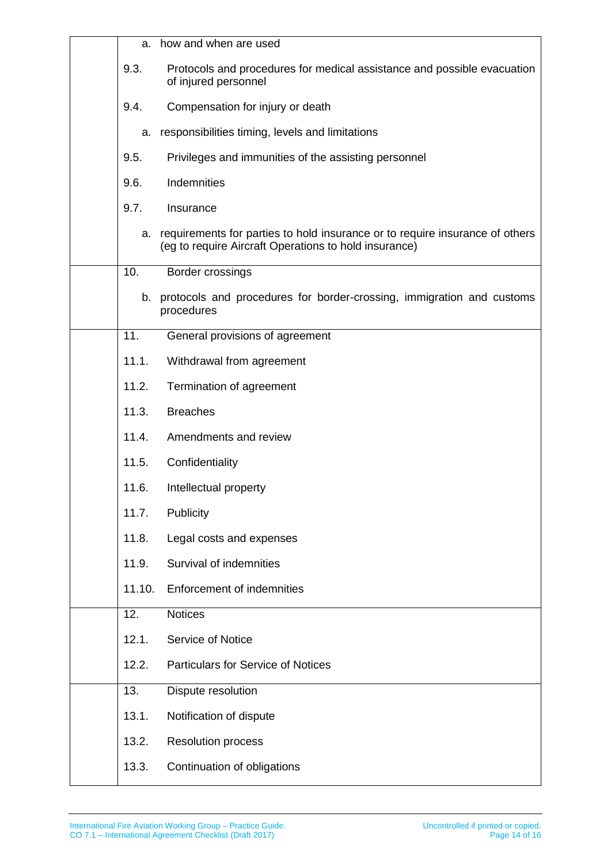| a.     | how and when are used                                                                                                                 |
|--------|---------------------------------------------------------------------------------------------------------------------------------------|
| 9.3.   | Protocols and procedures for medical assistance and possible evacuation<br>of injured personnel                                       |
| 9.4.   | Compensation for injury or death                                                                                                      |
| a.     | responsibilities timing, levels and limitations                                                                                       |
| 9.5.   | Privileges and immunities of the assisting personnel                                                                                  |
| 9.6.   | Indemnities                                                                                                                           |
| 9.7.   | Insurance                                                                                                                             |
| а.     | requirements for parties to hold insurance or to require insurance of others<br>(eg to require Aircraft Operations to hold insurance) |
| 10.    | Border crossings                                                                                                                      |
|        | b. protocols and procedures for border-crossing, immigration and customs<br>procedures                                                |
| 11.    | General provisions of agreement                                                                                                       |
| 11.1.  | Withdrawal from agreement                                                                                                             |
| 11.2.  | Termination of agreement                                                                                                              |
| 11.3.  | <b>Breaches</b>                                                                                                                       |
| 11.4.  | Amendments and review                                                                                                                 |
| 11.5.  | Confidentiality                                                                                                                       |
| 11.6.  | Intellectual property                                                                                                                 |
| 11.7.  | Publicity                                                                                                                             |
| 11.8.  | Legal costs and expenses                                                                                                              |
| 11.9.  | Survival of indemnities                                                                                                               |
| 11.10. | <b>Enforcement of indemnities</b>                                                                                                     |
| 12.    | <b>Notices</b>                                                                                                                        |
| 12.1.  | Service of Notice                                                                                                                     |
| 12.2.  | <b>Particulars for Service of Notices</b>                                                                                             |
| 13.    | Dispute resolution                                                                                                                    |
| 13.1.  | Notification of dispute                                                                                                               |
| 13.2.  | <b>Resolution process</b>                                                                                                             |
| 13.3.  | Continuation of obligations                                                                                                           |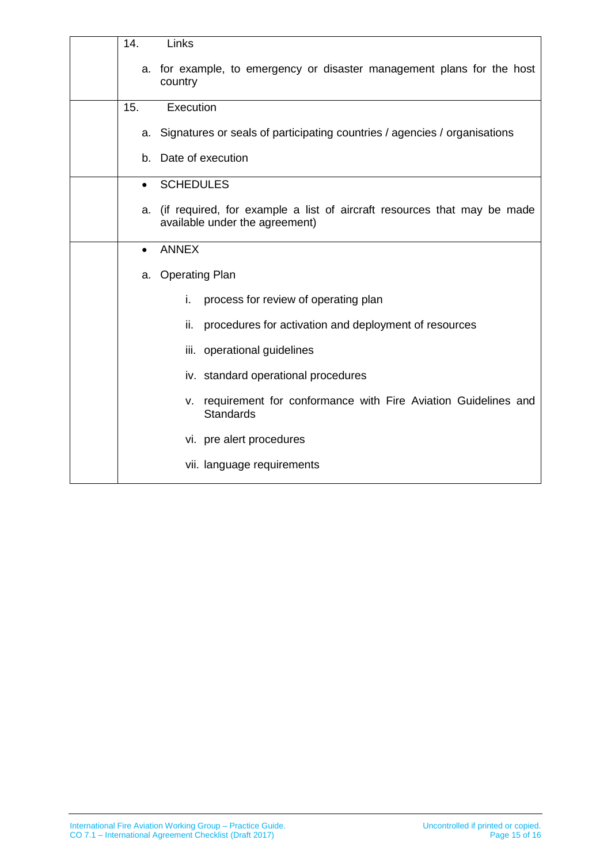| 14.       | Links                                                                                                        |
|-----------|--------------------------------------------------------------------------------------------------------------|
|           | a. for example, to emergency or disaster management plans for the host<br>country                            |
| 15.       | Execution                                                                                                    |
|           | a. Signatures or seals of participating countries / agencies / organisations                                 |
| b.        | Date of execution                                                                                            |
| $\bullet$ | <b>SCHEDULES</b>                                                                                             |
|           | a. (if required, for example a list of aircraft resources that may be made<br>available under the agreement) |
| $\bullet$ | <b>ANNEX</b>                                                                                                 |
|           | a. Operating Plan                                                                                            |
|           | i.<br>process for review of operating plan                                                                   |
|           | procedures for activation and deployment of resources<br>ii.                                                 |
|           | iii. operational guidelines                                                                                  |
|           | iv. standard operational procedures                                                                          |
|           | v. requirement for conformance with Fire Aviation Guidelines and<br><b>Standards</b>                         |
|           | vi. pre alert procedures                                                                                     |
|           | vii. language requirements                                                                                   |